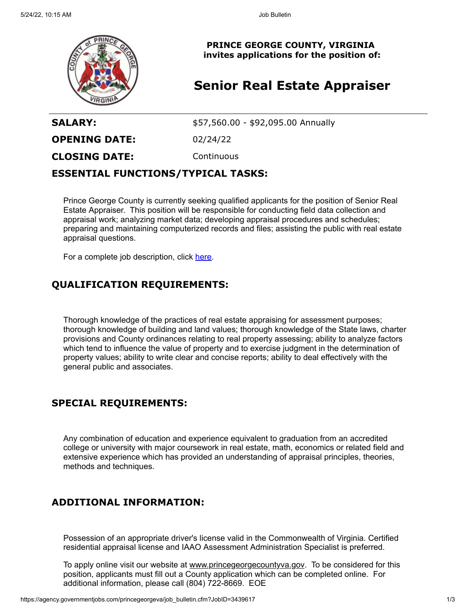

**PRINCE GEORGE COUNTY, VIRGINIA invites applications for the position of:**

# **Senior Real Estate Appraiser**

**SALARY:**  $$57,560.00 - $92,095.00$  Annually

**OPENING DATE:** 02/24/22

**CLOSING DATE:** Continuous

#### **ESSENTIAL FUNCTIONS/TYPICAL TASKS:**

Prince George County is currently seeking qualified applicants for the position of Senior Real Estate Appraiser. This position will be responsible for conducting field data collection and appraisal work; analyzing market data; developing appraisal procedures and schedules; preparing and maintaining computerized records and files; assisting the public with real estate appraisal questions.

For a complete job description, click [here](https://cms1files.revize.com/princegeorgeva/Senior%20Real%20Estate%20Appraiser.pdf).

### **QUALIFICATION REQUIREMENTS:**

Thorough knowledge of the practices of real estate appraising for assessment purposes; thorough knowledge of building and land values; thorough knowledge of the State laws, charter provisions and County ordinances relating to real property assessing; ability to analyze factors which tend to influence the value of property and to exercise judgment in the determination of property values; ability to write clear and concise reports; ability to deal effectively with the general public and associates.

#### **SPECIAL REQUIREMENTS:**

Any combination of education and experience equivalent to graduation from an accredited college or university with major coursework in real estate, math, economics or related field and extensive experience which has provided an understanding of appraisal principles, theories, methods and techniques.

## **ADDITIONAL INFORMATION:**

Possession of an appropriate driver's license valid in the Commonwealth of Virginia. Certified residential appraisal license and IAAO Assessment Administration Specialist is preferred.

To apply online visit our website at [www.princegeorgecountyva.gov.](http://www.princegeorgecountyva.gov/) To be considered for this position, applicants must fill out a County application which can be completed online. For additional information, please call (804) 722-8669. EOE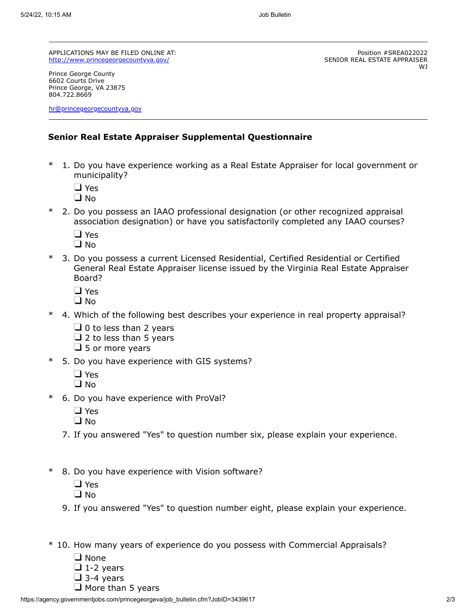APPLICATIONS MAY BE FILED ONLINE AT: <http://www.princegeorgecountyva.gov/>

Prince George County 6602 Courts Drive Prince George, VA 23875 804.722.8669

[hr@princegeorgecountyva.gov](mailto:hr@princegeorgecountyva.gov)

Position #SREA022022

WJ

SENIOR REAL ESTATE APPRAISER

#### **Senior Real Estate Appraiser Supplemental Questionnaire**

- 1. Do you have experience working as a Real Estate Appraiser for local government or municipality?
	- □ Yes
	- $\Box$  No
- \* 2. Do you possess an IAAO professional designation (or other recognized appraisal association designation) or have you satisfactorily completed any IAAO courses?
	- □ Yes
	- $\Box$  No
- \* 3. Do you possess a current Licensed Residential, Certified Residential or Certified General Real Estate Appraiser license issued by the Virginia Real Estate Appraiser Board?
	- □ Yes
	- $\Box$  No
- 4. Which of the following best describes your experience in real property appraisal?
	- $\Box$  0 to less than 2 years
	- $\Box$  2 to less than 5 years
	- $\Box$  5 or more years
- \* 5. Do you have experience with GIS systems?
	- □ Yes
	- $\square$  No
- \* 6. Do you have experience with ProVal?
	- □ Yes
	- $\Box$  No
	- 7. If you answered "Yes" to question number six, please explain your experience.
- \* 8. Do you have experience with Vision software?
	- □ Yes
	- $\Box$  No
	- 9. If you answered "Yes" to question number eight, please explain your experience.
- \* 10. How many years of experience do you possess with Commercial Appraisals?
	- $\Box$  None
	- $\Box$  1-2 years
	- $\Box$  3-4 years
	- $\Box$  More than 5 years